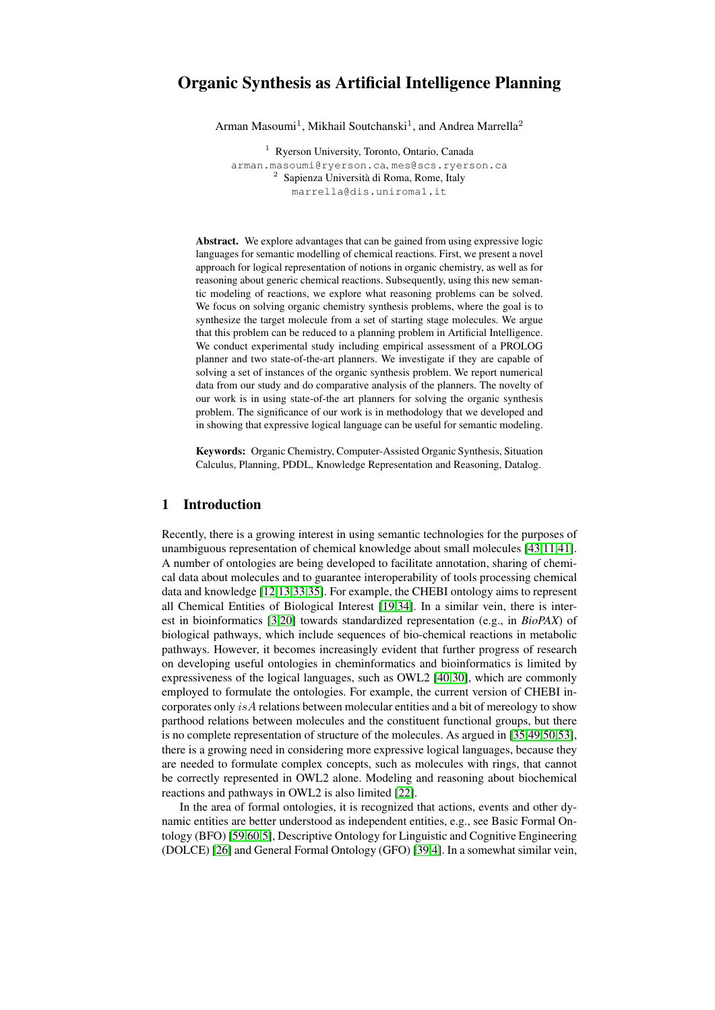# Organic Synthesis as Artificial Intelligence Planning

Arman Masoumi<sup>1</sup>, Mikhail Soutchanski<sup>1</sup>, and Andrea Marrella<sup>2</sup>

<sup>1</sup> Ryerson University, Toronto, Ontario, Canada arman.masoumi@ryerson.ca, mes@scs.ryerson.ca <sup>2</sup> Sapienza Università di Roma, Rome, Italy marrella@dis.uniroma1.it

Abstract. We explore advantages that can be gained from using expressive logic languages for semantic modelling of chemical reactions. First, we present a novel approach for logical representation of notions in organic chemistry, as well as for reasoning about generic chemical reactions. Subsequently, using this new semantic modeling of reactions, we explore what reasoning problems can be solved. We focus on solving organic chemistry synthesis problems, where the goal is to synthesize the target molecule from a set of starting stage molecules. We argue that this problem can be reduced to a planning problem in Artificial Intelligence. We conduct experimental study including empirical assessment of a PROLOG planner and two state-of-the-art planners. We investigate if they are capable of solving a set of instances of the organic synthesis problem. We report numerical data from our study and do comparative analysis of the planners. The novelty of our work is in using state-of-the art planners for solving the organic synthesis problem. The significance of our work is in methodology that we developed and in showing that expressive logical language can be useful for semantic modeling.

Keywords: Organic Chemistry, Computer-Assisted Organic Synthesis, Situation Calculus, Planning, PDDL, Knowledge Representation and Reasoning, Datalog.

## 1 Introduction

Recently, there is a growing interest in using semantic technologies for the purposes of unambiguous representation of chemical knowledge about small molecules [\[43](#page-13-0)[,11](#page-12-0)[,41\]](#page-13-1). A number of ontologies are being developed to facilitate annotation, sharing of chemical data about molecules and to guarantee interoperability of tools processing chemical data and knowledge [\[12,](#page-12-1)[13,](#page-12-2)[33,](#page-13-2)[35\]](#page-13-3). For example, the CHEBI ontology aims to represent all Chemical Entities of Biological Interest [\[19,](#page-13-4)[34\]](#page-13-5). In a similar vein, there is interest in bioinformatics [\[3](#page-12-3)[,20\]](#page-13-6) towards standardized representation (e.g., in *BioPAX*) of biological pathways, which include sequences of bio-chemical reactions in metabolic pathways. However, it becomes increasingly evident that further progress of research on developing useful ontologies in cheminformatics and bioinformatics is limited by expressiveness of the logical languages, such as OWL2 [\[40](#page-13-7)[,30\]](#page-13-8), which are commonly employed to formulate the ontologies. For example, the current version of CHEBI incorporates only is A relations between molecular entities and a bit of mereology to show parthood relations between molecules and the constituent functional groups, but there is no complete representation of structure of the molecules. As argued in [\[35](#page-13-3)[,49](#page-14-0)[,50](#page-14-1)[,53\]](#page-14-2), there is a growing need in considering more expressive logical languages, because they are needed to formulate complex concepts, such as molecules with rings, that cannot be correctly represented in OWL2 alone. Modeling and reasoning about biochemical reactions and pathways in OWL2 is also limited [\[22\]](#page-13-9).

In the area of formal ontologies, it is recognized that actions, events and other dynamic entities are better understood as independent entities, e.g., see Basic Formal Ontology (BFO) [\[59,](#page-14-3)[60,](#page-14-4)[5\]](#page-12-4), Descriptive Ontology for Linguistic and Cognitive Engineering (DOLCE) [\[26\]](#page-13-10) and General Formal Ontology (GFO) [\[39,](#page-13-11)[4\]](#page-12-5). In a somewhat similar vein,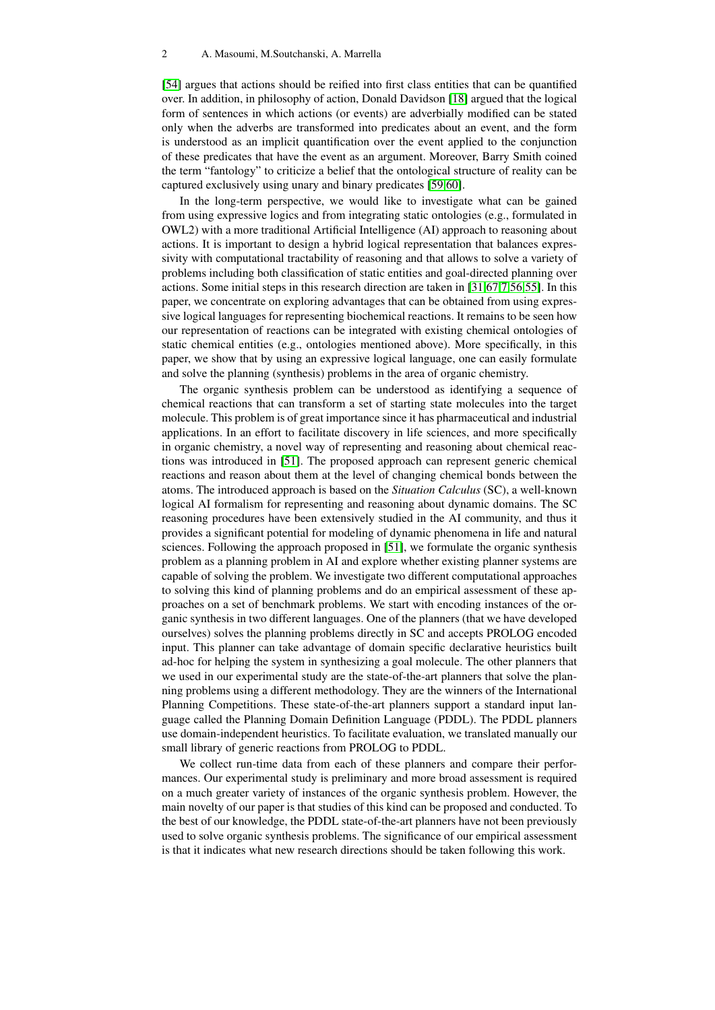[\[54\]](#page-14-5) argues that actions should be reified into first class entities that can be quantified over. In addition, in philosophy of action, Donald Davidson [\[18\]](#page-12-6) argued that the logical form of sentences in which actions (or events) are adverbially modified can be stated only when the adverbs are transformed into predicates about an event, and the form is understood as an implicit quantification over the event applied to the conjunction of these predicates that have the event as an argument. Moreover, Barry Smith coined the term "fantology" to criticize a belief that the ontological structure of reality can be captured exclusively using unary and binary predicates [\[59,](#page-14-3)[60\]](#page-14-4).

In the long-term perspective, we would like to investigate what can be gained from using expressive logics and from integrating static ontologies (e.g., formulated in OWL2) with a more traditional Artificial Intelligence (AI) approach to reasoning about actions. It is important to design a hybrid logical representation that balances expressivity with computational tractability of reasoning and that allows to solve a variety of problems including both classification of static entities and goal-directed planning over actions. Some initial steps in this research direction are taken in [\[31,](#page-13-12)[67,](#page-14-6)[7](#page-12-7)[,56](#page-14-7)[,55\]](#page-14-8). In this paper, we concentrate on exploring advantages that can be obtained from using expressive logical languages for representing biochemical reactions. It remains to be seen how our representation of reactions can be integrated with existing chemical ontologies of static chemical entities (e.g., ontologies mentioned above). More specifically, in this paper, we show that by using an expressive logical language, one can easily formulate and solve the planning (synthesis) problems in the area of organic chemistry.

The organic synthesis problem can be understood as identifying a sequence of chemical reactions that can transform a set of starting state molecules into the target molecule. This problem is of great importance since it has pharmaceutical and industrial applications. In an effort to facilitate discovery in life sciences, and more specifically in organic chemistry, a novel way of representing and reasoning about chemical reactions was introduced in [\[51\]](#page-14-9). The proposed approach can represent generic chemical reactions and reason about them at the level of changing chemical bonds between the atoms. The introduced approach is based on the *Situation Calculus* (SC), a well-known logical AI formalism for representing and reasoning about dynamic domains. The SC reasoning procedures have been extensively studied in the AI community, and thus it provides a significant potential for modeling of dynamic phenomena in life and natural sciences. Following the approach proposed in [\[51\]](#page-14-9), we formulate the organic synthesis problem as a planning problem in AI and explore whether existing planner systems are capable of solving the problem. We investigate two different computational approaches to solving this kind of planning problems and do an empirical assessment of these approaches on a set of benchmark problems. We start with encoding instances of the organic synthesis in two different languages. One of the planners (that we have developed ourselves) solves the planning problems directly in SC and accepts PROLOG encoded input. This planner can take advantage of domain specific declarative heuristics built ad-hoc for helping the system in synthesizing a goal molecule. The other planners that we used in our experimental study are the state-of-the-art planners that solve the planning problems using a different methodology. They are the winners of the International Planning Competitions. These state-of-the-art planners support a standard input language called the Planning Domain Definition Language (PDDL). The PDDL planners use domain-independent heuristics. To facilitate evaluation, we translated manually our small library of generic reactions from PROLOG to PDDL.

We collect run-time data from each of these planners and compare their performances. Our experimental study is preliminary and more broad assessment is required on a much greater variety of instances of the organic synthesis problem. However, the main novelty of our paper is that studies of this kind can be proposed and conducted. To the best of our knowledge, the PDDL state-of-the-art planners have not been previously used to solve organic synthesis problems. The significance of our empirical assessment is that it indicates what new research directions should be taken following this work.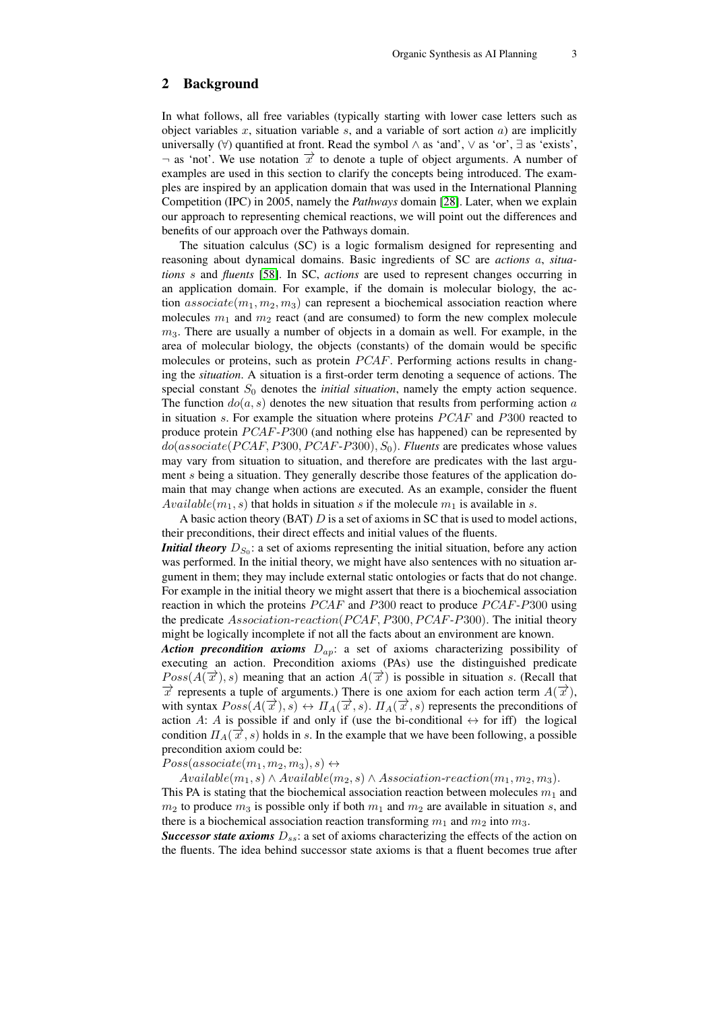## 2 Background

In what follows, all free variables (typically starting with lower case letters such as object variables x, situation variable s, and a variable of sort action  $a$ ) are implicitly universally  $(\forall)$  quantified at front. Read the symbol  $\land$  as 'and',  $\lor$  as 'or',  $\exists$  as 'exists',  $\neg$  as 'not'. We use notation  $\vec{x}$  to denote a tuple of object arguments. A number of examples are used in this section to clarify the concepts being introduced. The examples are inspired by an application domain that was used in the International Planning Competition (IPC) in 2005, namely the *Pathways* domain [\[28\]](#page-13-13). Later, when we explain our approach to representing chemical reactions, we will point out the differences and benefits of our approach over the Pathways domain.

The situation calculus (SC) is a logic formalism designed for representing and reasoning about dynamical domains. Basic ingredients of SC are *actions* a, *situations* s and *fluents* [\[58\]](#page-14-10). In SC, *actions* are used to represent changes occurring in an application domain. For example, if the domain is molecular biology, the action  $associate(m_1, m_2, m_3)$  can represent a biochemical association reaction where molecules  $m_1$  and  $m_2$  react (and are consumed) to form the new complex molecule  $m<sub>3</sub>$ . There are usually a number of objects in a domain as well. For example, in the area of molecular biology, the objects (constants) of the domain would be specific molecules or proteins, such as protein  $PCAF$ . Performing actions results in changing the *situation*. A situation is a first-order term denoting a sequence of actions. The special constant  $S_0$  denotes the *initial situation*, namely the empty action sequence. The function  $do(a, s)$  denotes the new situation that results from performing action a in situation s. For example the situation where proteins  $PCAF$  and  $P300$  reacted to produce protein  $PCAF-P300$  (and nothing else has happened) can be represented by  $do (associate (PCAF, P300, PCAF-P300), S_0)$ . *Fluents* are predicates whose values may vary from situation to situation, and therefore are predicates with the last argument s being a situation. They generally describe those features of the application domain that may change when actions are executed. As an example, consider the fluent  $Available(m_1, s)$  that holds in situation s if the molecule  $m_1$  is available in s.

A basic action theory (BAT)  $D$  is a set of axioms in SC that is used to model actions, their preconditions, their direct effects and initial values of the fluents.

*Initial theory*  $D_{S_0}$ : a set of axioms representing the initial situation, before any action was performed. In the initial theory, we might have also sentences with no situation argument in them; they may include external static ontologies or facts that do not change. For example in the initial theory we might assert that there is a biochemical association reaction in which the proteins  $PCAF$  and P300 react to produce  $PCAF$ -P300 using the predicate Association-reaction(PCAF, P300, PCAF-P300). The initial theory might be logically incomplete if not all the facts about an environment are known.

*Action precondition axioms*  $D_{ap}$ : a set of axioms characterizing possibility of executing an action. Precondition axioms (PAs) use the distinguished predicate  $Poss(A(\vec{x}), s)$  meaning that an action  $A(\vec{x})$  is possible in situation s. (Recall that  $\vec{x}$  represents a tuple of arguments.) There is one axiom for each action term  $A(\vec{x})$ , with syntax  $Poss(A(\vec{x}), s) \leftrightarrow \Pi_A(\vec{x}, s)$ .  $\Pi_A(\vec{x}, s)$  represents the preconditions of action A: A is possible if and only if (use the bi-conditional  $\leftrightarrow$  for iff) the logical condition  $\Pi_A(\vec{x},s)$  holds in s. In the example that we have been following, a possible precondition axiom could be:

 $Poss(associate(m_1, m_2, m_3), s) \leftrightarrow$ 

 $Available(m_1, s) \wedge Available(m_2, s) \wedge Association-reaction(m_1, m_2, m_3).$ This PA is stating that the biochemical association reaction between molecules  $m_1$  and  $m_2$  to produce  $m_3$  is possible only if both  $m_1$  and  $m_2$  are available in situation s, and there is a biochemical association reaction transforming  $m_1$  and  $m_2$  into  $m_3$ .

*Successor state axioms*  $D_{ss}$ : a set of axioms characterizing the effects of the action on the fluents. The idea behind successor state axioms is that a fluent becomes true after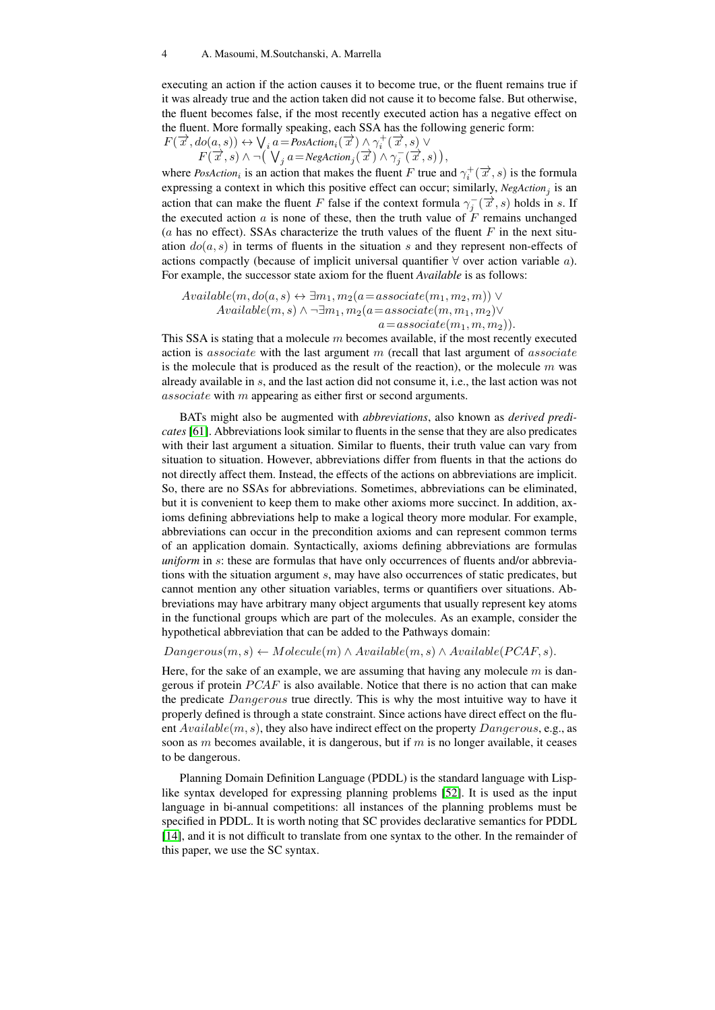executing an action if the action causes it to become true, or the fluent remains true if it was already true and the action taken did not cause it to become false. But otherwise, the fluent becomes false, if the most recently executed action has a negative effect on the fluent. More formally speaking, each SSA has the following generic form:<br>  $F(\vec{x}, do(a, s)) \leftrightarrow \bigvee_i a = \text{Postation}_i(\vec{x}) \land \gamma_i^+(\vec{x}, s) \lor$  $F<sub>1</sub>$ 

$$
\forall (\overrightarrow{x}, do(a, s)) \leftrightarrow \bigvee_i a = Postction_i(\overrightarrow{x}) \land \gamma_i^+(\overrightarrow{x}, s) \lor \nF(\overrightarrow{x}, s) \land \neg (\bigvee_j a = NegAction_j(\overrightarrow{x}) \land \gamma_j^-(\overrightarrow{x}, s)),
$$

where *PosAction*<sub>i</sub> is an action that makes the fluent F true and  $\gamma_i^+(\vec{x}, s)$  is the formula expressing a context in which this positive effect can occur; similarly,  $NegAction_j$  is an action that can make the fluent F false if the context formula  $\gamma_j^-(\vec{x},s)$  holds in s. If the executed action a is none of these, then the truth value of  $\tilde{F}$  remains unchanged (a has no effect). SSAs characterize the truth values of the fluent  $F$  in the next situation  $do(a, s)$  in terms of fluents in the situation s and they represent non-effects of actions compactly (because of implicit universal quantifier  $\forall$  over action variable a). For example, the successor state axiom for the fluent *Available* is as follows:

 $Available(m, do(a, s) \leftrightarrow \exists m_1, m_2(a=associate(m_1, m_2, m)) \vee$  $Available(m, s) \wedge \neg \exists m_1, m_2(a=associate(m, m_1, m_2) \vee$  $a=associate(m_1, m, m_2)).$ 

This SSA is stating that a molecule  $m$  becomes available, if the most recently executed action is *associate* with the last argument m (recall that last argument of *associate* is the molecule that is produced as the result of the reaction), or the molecule  $m$  was already available in s, and the last action did not consume it, i.e., the last action was not associate with m appearing as either first or second arguments.

BATs might also be augmented with *abbreviations*, also known as *derived predicates* [\[61\]](#page-14-11). Abbreviations look similar to fluents in the sense that they are also predicates with their last argument a situation. Similar to fluents, their truth value can vary from situation to situation. However, abbreviations differ from fluents in that the actions do not directly affect them. Instead, the effects of the actions on abbreviations are implicit. So, there are no SSAs for abbreviations. Sometimes, abbreviations can be eliminated, but it is convenient to keep them to make other axioms more succinct. In addition, axioms defining abbreviations help to make a logical theory more modular. For example, abbreviations can occur in the precondition axioms and can represent common terms of an application domain. Syntactically, axioms defining abbreviations are formulas *uniform* in s: these are formulas that have only occurrences of fluents and/or abbreviations with the situation argument s, may have also occurrences of static predicates, but cannot mention any other situation variables, terms or quantifiers over situations. Abbreviations may have arbitrary many object arguments that usually represent key atoms in the functional groups which are part of the molecules. As an example, consider the hypothetical abbreviation that can be added to the Pathways domain:

 $Dangerous(m, s) \leftarrow Molecule(m) \wedge Available(m, s) \wedge Available(PCAF, s).$ 

Here, for the sake of an example, we are assuming that having any molecule  $m$  is dangerous if protein  $PCAF$  is also available. Notice that there is no action that can make the predicate Dangerous true directly. This is why the most intuitive way to have it properly defined is through a state constraint. Since actions have direct effect on the fluent  $Available(m, s)$ , they also have indirect effect on the property  $Dangerous$ , e.g., as soon as m becomes available, it is dangerous, but if m is no longer available, it ceases to be dangerous.

Planning Domain Definition Language (PDDL) is the standard language with Lisplike syntax developed for expressing planning problems [\[52\]](#page-14-12). It is used as the input language in bi-annual competitions: all instances of the planning problems must be specified in PDDL. It is worth noting that SC provides declarative semantics for PDDL [\[14\]](#page-12-8), and it is not difficult to translate from one syntax to the other. In the remainder of this paper, we use the SC syntax.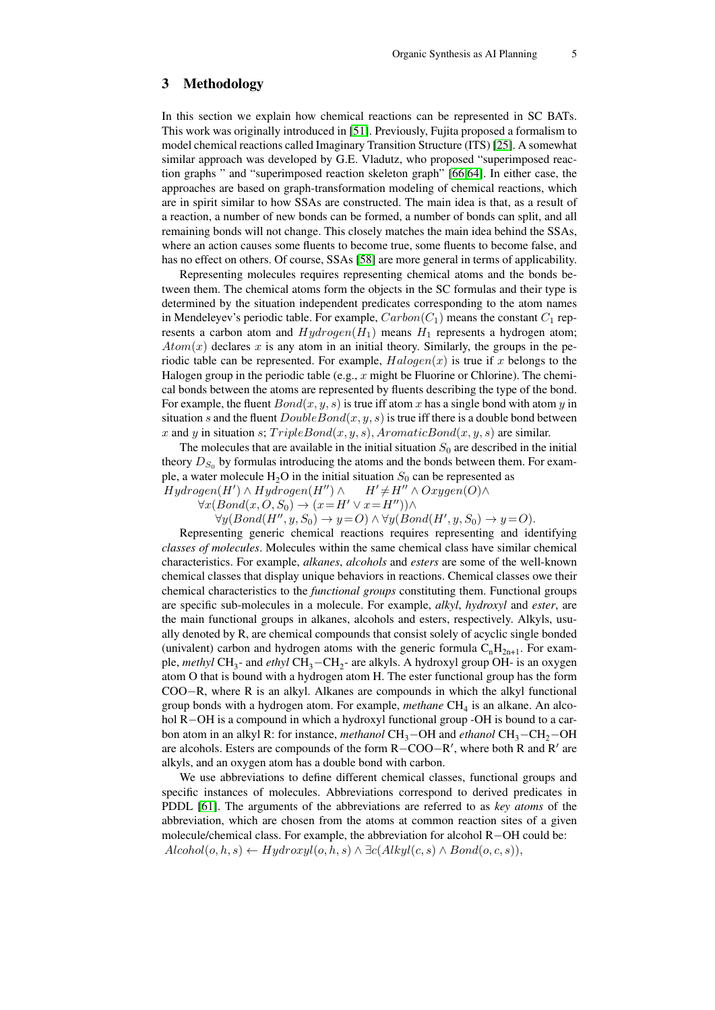## 3 Methodology

In this section we explain how chemical reactions can be represented in SC BATs. This work was originally introduced in [\[51\]](#page-14-9). Previously, Fujita proposed a formalism to model chemical reactions called Imaginary Transition Structure (ITS) [\[25\]](#page-13-14). A somewhat similar approach was developed by G.E. Vladutz, who proposed "superimposed reaction graphs " and "superimposed reaction skeleton graph" [\[66,](#page-14-13)[64\]](#page-14-14). In either case, the approaches are based on graph-transformation modeling of chemical reactions, which are in spirit similar to how SSAs are constructed. The main idea is that, as a result of a reaction, a number of new bonds can be formed, a number of bonds can split, and all remaining bonds will not change. This closely matches the main idea behind the SSAs, where an action causes some fluents to become true, some fluents to become false, and has no effect on others. Of course, SSAs [\[58\]](#page-14-10) are more general in terms of applicability.

Representing molecules requires representing chemical atoms and the bonds between them. The chemical atoms form the objects in the SC formulas and their type is determined by the situation independent predicates corresponding to the atom names in Mendeleyev's periodic table. For example,  $Carbon(C_1)$  means the constant  $C_1$  represents a carbon atom and  $Hydrogen(H<sub>1</sub>)$  means  $H<sub>1</sub>$  represents a hydrogen atom;  $Atom(x)$  declares x is any atom in an initial theory. Similarly, the groups in the periodic table can be represented. For example,  $Halogen(x)$  is true if x belongs to the Halogen group in the periodic table (e.g., x might be Fluorine or Chlorine). The chemical bonds between the atoms are represented by fluents describing the type of the bond. For example, the fluent  $Bond(x, y, s)$  is true iff atom x has a single bond with atom y in situation s and the fluent  $DoubleBond(x, y, s)$  is true iff there is a double bond between x and y in situation s;  $TripleBond(x, y, s)$ ,  $AromaticBond(x, y, s)$  are similar.

The molecules that are available in the initial situation  $S_0$  are described in the initial theory  $D_{S_0}$  by formulas introducing the atoms and the bonds between them. For example, a water molecule  $H_2O$  in the initial situation  $S_0$  can be represented as  $H' \neq H'' \wedge Oxygen(O) \wedge$ 

 $Hydrogen(H') \wedge Hydrogen(H'') \wedge$  $\forall x (Bond(x, O, S_0) \rightarrow (x = H' \lor x = H'')) \land$ 

 $\forall y (Bond(H'', y, S_0) \rightarrow y = O) \land \forall y (Bond(H', y, S_0) \rightarrow y = O).$ 

Representing generic chemical reactions requires representing and identifying *classes of molecules*. Molecules within the same chemical class have similar chemical characteristics. For example, *alkanes*, *alcohols* and *esters* are some of the well-known chemical classes that display unique behaviors in reactions. Chemical classes owe their chemical characteristics to the *functional groups* constituting them. Functional groups are specific sub-molecules in a molecule. For example, *alkyl*, *hydroxyl* and *ester*, are the main functional groups in alkanes, alcohols and esters, respectively. Alkyls, usually denoted by R, are chemical compounds that consist solely of acyclic single bonded (univalent) carbon and hydrogen atoms with the generic formula  $C<sub>n</sub>H<sub>2n+1</sub>$ . For example, *methyl* CH<sub>3</sub>- and *ethyl* CH<sub>3</sub>−CH<sub>2</sub>- are alkyls. A hydroxyl group OH- is an oxygen atom O that is bound with a hydrogen atom H. The ester functional group has the form COO−R, where R is an alkyl. Alkanes are compounds in which the alkyl functional group bonds with a hydrogen atom. For example, *methane* CH<sub>4</sub> is an alkane. An alcohol R−OH is a compound in which a hydroxyl functional group -OH is bound to a carbon atom in an alkyl R: for instance, *methanol* CH<sub>3</sub>−OH and *ethanol* CH<sub>3</sub>−CH<sub>2</sub>−OH are alcohols. Esters are compounds of the form R-COO-R', where both R and R' are alkyls, and an oxygen atom has a double bond with carbon.

We use abbreviations to define different chemical classes, functional groups and specific instances of molecules. Abbreviations correspond to derived predicates in PDDL [\[61\]](#page-14-11). The arguments of the abbreviations are referred to as *key atoms* of the abbreviation, which are chosen from the atoms at common reaction sites of a given molecule/chemical class. For example, the abbreviation for alcohol R−OH could be:  $Alcohol(o, h, s) \leftarrow Hydroxyl(o, h, s) \wedge \exists c(Alkyl(c, s) \wedge Bond(o, c, s)),$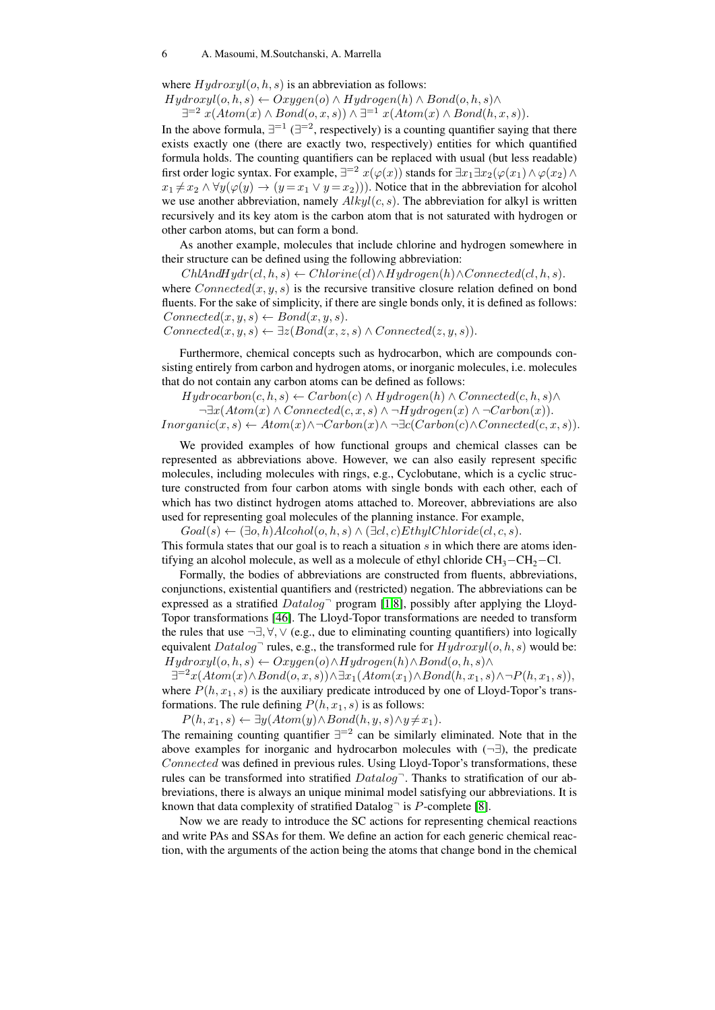#### 6 A. Masoumi, M.Soutchanski, A. Marrella

where  $Hydroxyl(o, h, s)$  is an abbreviation as follows:

 $Hydroxyl(o, h, s) \leftarrow Oxygen(o) \wedge Hydrogen(h) \wedge Bond(o, h, s) \wedge$ 

 $\exists^{=2} x(Atom(x) \land Bond(o, x, s)) \land \exists^{=1} x(Atom(x) \land Bond(h, x, s)).$ 

In the above formula,  $\exists^{-1}$  ( $\exists^{-2}$ , respectively) is a counting quantifier saying that there exists exactly one (there are exactly two, respectively) entities for which quantified formula holds. The counting quantifiers can be replaced with usual (but less readable) first order logic syntax. For example,  $\exists^{=2} x(\varphi(x))$  stands for  $\exists x_1 \exists x_2 (\varphi(x_1) \wedge \varphi(x_2) \wedge$  $x_1 \neq x_2 \land \forall y (\varphi(y) \to (y = x_1 \lor y = x_2))$ . Notice that in the abbreviation for alcohol we use another abbreviation, namely  $Alkyl(c, s)$ . The abbreviation for alkyl is written recursively and its key atom is the carbon atom that is not saturated with hydrogen or other carbon atoms, but can form a bond.

As another example, molecules that include chlorine and hydrogen somewhere in their structure can be defined using the following abbreviation:

 $ChlAndHydr(cl, h, s) \leftarrow Chlorine(cl) \wedge Hydrogen(h) \wedge Connected(cl, h, s).$ where  $Connected(x, y, s)$  is the recursive transitive closure relation defined on bond fluents. For the sake of simplicity, if there are single bonds only, it is defined as follows:  $Connected(x, y, s) \leftarrow Bond(x, y, s).$ 

 $Connected(x, y, s) \leftarrow \exists z (Bond(x, z, s) \land Connected(z, y, s)).$ 

Furthermore, chemical concepts such as hydrocarbon, which are compounds consisting entirely from carbon and hydrogen atoms, or inorganic molecules, i.e. molecules that do not contain any carbon atoms can be defined as follows:

 $Hydrocarbon(c, h, s) \leftarrow Carbon(c) \wedge Hydrogen(h) \wedge Connected(c, h, s) \wedge$  $\neg \exists x (Atom(x) \land Connected(c, x, s) \land \neg Hydrogen(x) \land \neg Carbon(x)).$  $Inorganic(x, s) \leftarrow Atom(x) \land \neg Carbon(x) \land \neg \exists c(Carbon(c) \land Connected(c, x, s)).$ 

We provided examples of how functional groups and chemical classes can be represented as abbreviations above. However, we can also easily represent specific molecules, including molecules with rings, e.g., Cyclobutane, which is a cyclic structure constructed from four carbon atoms with single bonds with each other, each of which has two distinct hydrogen atoms attached to. Moreover, abbreviations are also used for representing goal molecules of the planning instance. For example,

 $Goal(s) \leftarrow (\exists o, h) \, Alcohol(o, h, s) \land (\exists cl, c) \, Ethyl Chloride(cl, c, s).$ This formula states that our goal is to reach a situation  $s$  in which there are atoms identifying an alcohol molecule, as well as a molecule of ethyl chloride  $CH_3-CH_2-Cl$ .

Formally, the bodies of abbreviations are constructed from fluents, abbreviations, conjunctions, existential quantifiers and (restricted) negation. The abbreviations can be expressed as a stratified  $Datalog$ <sup> $\neg$ </sup> program [\[1,](#page-12-9)[8\]](#page-12-10), possibly after applying the Lloyd-Topor transformations [\[46\]](#page-14-15). The Lloyd-Topor transformations are needed to transform the rules that use  $\neg \exists, \forall, \forall$  (e.g., due to eliminating counting quantifiers) into logically equivalent  $Database$  rules, e.g., the transformed rule for  $Hydroxyl(o, h, s)$  would be:  $Hydroxyl(o, h, s) \leftarrow Oxygen(o) \wedge Hydrogen(h) \wedge Bond(o, h, s) \wedge$ 

 $\exists^{=2}x(Atom(x) \land Bond(o, x, s)) \land \exists x_1(Atom(x_1) \land Bond(h, x_1, s) \land \neg P(h, x_1, s)),$ where  $P(h, x_1, s)$  is the auxiliary predicate introduced by one of Lloyd-Topor's transformations. The rule defining  $P(h, x_1, s)$  is as follows:

 $P(h, x_1, s) \leftarrow \exists y (Atom(y) \land Bond(h, y, s) \land y \neq x_1).$ 

The remaining counting quantifier  $\exists^{-2}$  can be similarly eliminated. Note that in the above examples for inorganic and hydrocarbon molecules with  $(\neg \exists)$ , the predicate Connected was defined in previous rules. Using Lloyd-Topor's transformations, these rules can be transformed into stratified  $Datalog^-$ . Thanks to stratification of our abbreviations, there is always an unique minimal model satisfying our abbreviations. It is known that data complexity of stratified Datalog<sup>-</sup> is  $P$ -complete [\[8\]](#page-12-10).

Now we are ready to introduce the SC actions for representing chemical reactions and write PAs and SSAs for them. We define an action for each generic chemical reaction, with the arguments of the action being the atoms that change bond in the chemical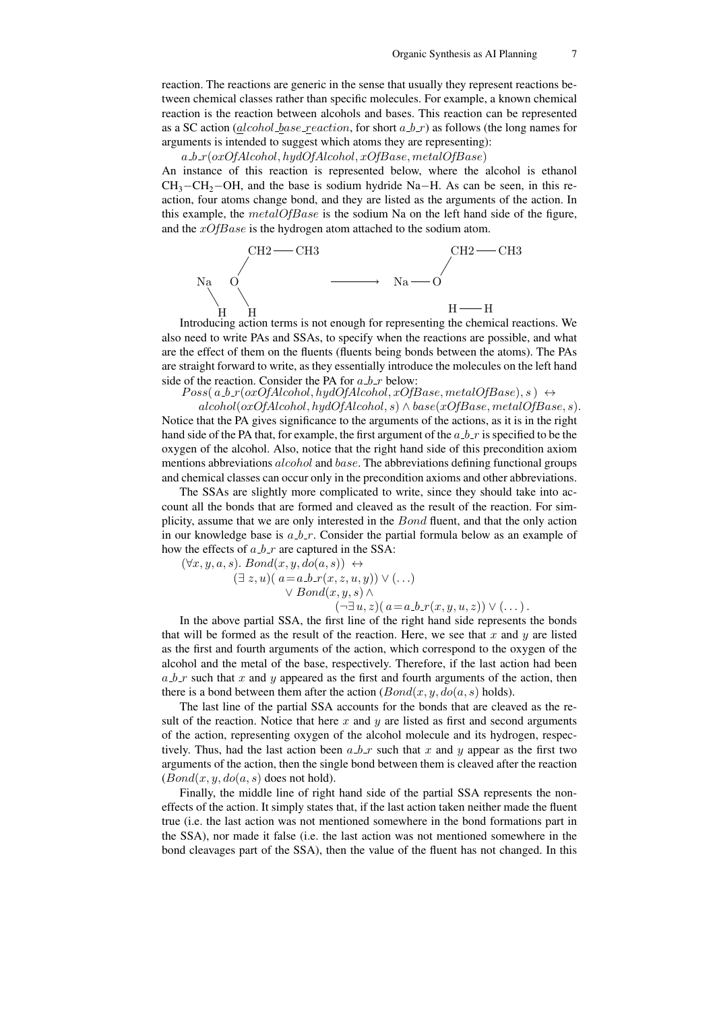reaction. The reactions are generic in the sense that usually they represent reactions between chemical classes rather than specific molecules. For example, a known chemical reaction is the reaction between alcohols and bases. This reaction can be represented as a SC action (*alcohol base reaction*, for short  $a_b\ell$ ) as follows (the long names for arguments is intended to suggest which atoms they are representing):

 $a_b r(\alpha x)$ CfAlcohol, hydOfAlcohol,  $x$ OfBase, metalOfBase)

An instance of this reaction is represented below, where the alcohol is ethanol  $CH_3$ −CH<sub>2</sub>−OH, and the base is sodium hydride Na−H. As can be seen, in this reaction, four atoms change bond, and they are listed as the arguments of the action. In this example, the  $metalOfBase$  is the sodium Na on the left hand side of the figure, and the  $xOfBase$  is the hydrogen atom attached to the sodium atom.



Introducing action terms is not enough for representing the chemical reactions. We also need to write PAs and SSAs, to specify when the reactions are possible, and what are the effect of them on the fluents (fluents being bonds between the atoms). The PAs are straight forward to write, as they essentially introduce the molecules on the left hand side of the reaction. Consider the PA for  $a, b, r$  below:

 $Poss(a.b.r(oxOfAlcohol, hydOfAlcohol, xOfBase, metalOfBase), s) \leftrightarrow$ 

 $alcohol(oxOfAlcohol, hydOfAlcohol, s) \wedge base(xOfBase, metalOfBase, s).$ Notice that the PA gives significance to the arguments of the actions, as it is in the right hand side of the PA that, for example, the first argument of the  $a_b$  is specified to be the oxygen of the alcohol. Also, notice that the right hand side of this precondition axiom mentions abbreviations  $alcohol$  and  $base$ . The abbreviations defining functional groups and chemical classes can occur only in the precondition axioms and other abbreviations.

The SSAs are slightly more complicated to write, since they should take into account all the bonds that are formed and cleaved as the result of the reaction. For simplicity, assume that we are only interested in the Bond fluent, and that the only action in our knowledge base is  $a_b r$ . Consider the partial formula below as an example of how the effects of  $a_br$  are captured in the SSA:

$$
(\forall x, y, a, s). Bond(x, y, do(a, s)) \leftrightarrow (\exists z, u) ( a=a.b.r(x, z, u, y)) \vee (...) \vee Bond(x, y, s) \wedge (\neg \exists u, z) ( a=a.b.r(x, y, u, z)) \vee (...).
$$

In the above partial SSA, the first line of the right hand side represents the bonds that will be formed as the result of the reaction. Here, we see that  $x$  and  $y$  are listed as the first and fourth arguments of the action, which correspond to the oxygen of the alcohol and the metal of the base, respectively. Therefore, if the last action had been  $a_b$  r such that x and y appeared as the first and fourth arguments of the action, then there is a bond between them after the action  $(Bond(x, y, do(a, s)$  holds).

The last line of the partial SSA accounts for the bonds that are cleaved as the result of the reaction. Notice that here x and y are listed as first and second arguments of the action, representing oxygen of the alcohol molecule and its hydrogen, respectively. Thus, had the last action been  $a_br$  such that x and y appear as the first two arguments of the action, then the single bond between them is cleaved after the reaction  $(Bond(x, y, do(a, s)$  does not hold).

Finally, the middle line of right hand side of the partial SSA represents the noneffects of the action. It simply states that, if the last action taken neither made the fluent true (i.e. the last action was not mentioned somewhere in the bond formations part in the SSA), nor made it false (i.e. the last action was not mentioned somewhere in the bond cleavages part of the SSA), then the value of the fluent has not changed. In this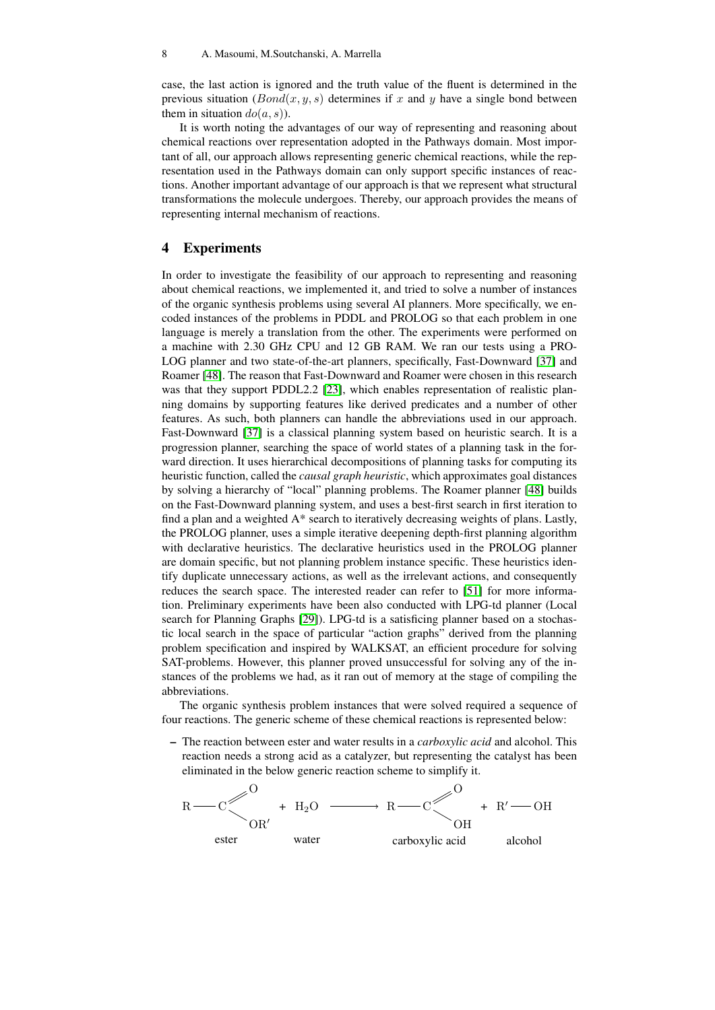case, the last action is ignored and the truth value of the fluent is determined in the previous situation  $(Bond(x, y, s)$  determines if x and y have a single bond between them in situation  $do(a, s)$ ).

It is worth noting the advantages of our way of representing and reasoning about chemical reactions over representation adopted in the Pathways domain. Most important of all, our approach allows representing generic chemical reactions, while the representation used in the Pathways domain can only support specific instances of reactions. Another important advantage of our approach is that we represent what structural transformations the molecule undergoes. Thereby, our approach provides the means of representing internal mechanism of reactions.

### 4 Experiments

In order to investigate the feasibility of our approach to representing and reasoning about chemical reactions, we implemented it, and tried to solve a number of instances of the organic synthesis problems using several AI planners. More specifically, we encoded instances of the problems in PDDL and PROLOG so that each problem in one language is merely a translation from the other. The experiments were performed on a machine with 2.30 GHz CPU and 12 GB RAM. We ran our tests using a PRO-LOG planner and two state-of-the-art planners, specifically, Fast-Downward [\[37\]](#page-13-15) and Roamer [\[48\]](#page-14-16). The reason that Fast-Downward and Roamer were chosen in this research was that they support PDDL2.2 [\[23\]](#page-13-16), which enables representation of realistic planning domains by supporting features like derived predicates and a number of other features. As such, both planners can handle the abbreviations used in our approach. Fast-Downward [\[37\]](#page-13-15) is a classical planning system based on heuristic search. It is a progression planner, searching the space of world states of a planning task in the forward direction. It uses hierarchical decompositions of planning tasks for computing its heuristic function, called the *causal graph heuristic*, which approximates goal distances by solving a hierarchy of "local" planning problems. The Roamer planner [\[48\]](#page-14-16) builds on the Fast-Downward planning system, and uses a best-first search in first iteration to find a plan and a weighted A\* search to iteratively decreasing weights of plans. Lastly, the PROLOG planner, uses a simple iterative deepening depth-first planning algorithm with declarative heuristics. The declarative heuristics used in the PROLOG planner are domain specific, but not planning problem instance specific. These heuristics identify duplicate unnecessary actions, as well as the irrelevant actions, and consequently reduces the search space. The interested reader can refer to [\[51\]](#page-14-9) for more information. Preliminary experiments have been also conducted with LPG-td planner (Local search for Planning Graphs [\[29\]](#page-13-17)). LPG-td is a satisficing planner based on a stochastic local search in the space of particular "action graphs" derived from the planning problem specification and inspired by WALKSAT, an efficient procedure for solving SAT-problems. However, this planner proved unsuccessful for solving any of the instances of the problems we had, as it ran out of memory at the stage of compiling the abbreviations.

The organic synthesis problem instances that were solved required a sequence of four reactions. The generic scheme of these chemical reactions is represented below:

– The reaction between ester and water results in a *carboxylic acid* and alcohol. This reaction needs a strong acid as a catalyzer, but representing the catalyst has been eliminated in the below generic reaction scheme to simplify it.

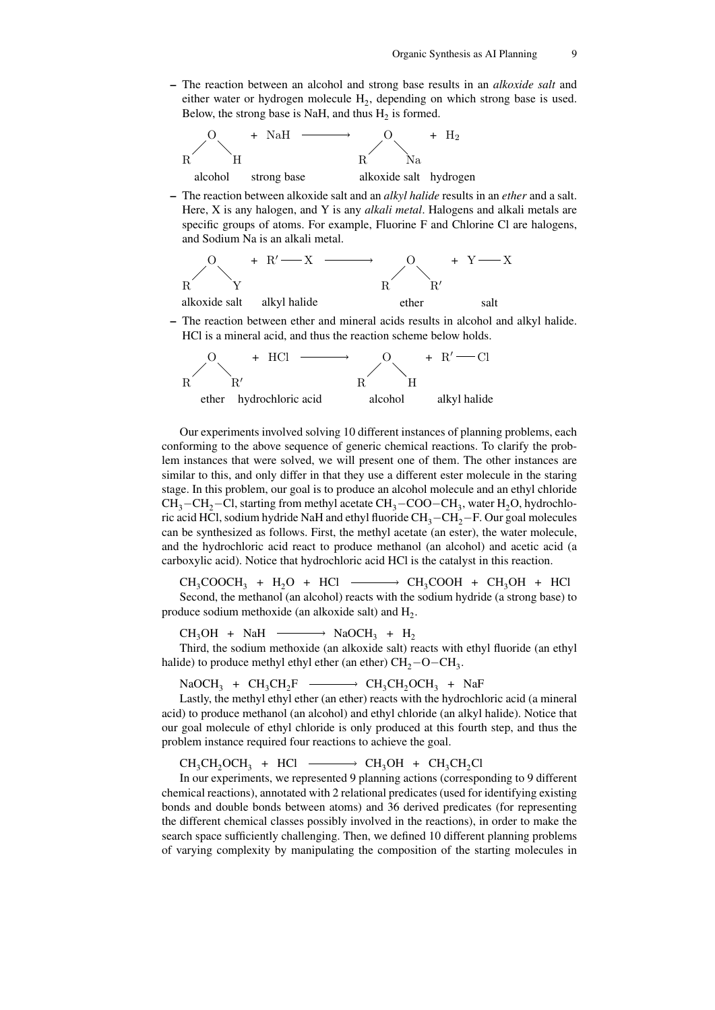– The reaction between an alcohol and strong base results in an *alkoxide salt* and either water or hydrogen molecule  $H_2$ , depending on which strong base is used. Below, the strong base is NaH, and thus  $H_2$  is formed.



– The reaction between alkoxide salt and an *alkyl halide* results in an *ether* and a salt. Here, X is any halogen, and Y is any *alkali metal*. Halogens and alkali metals are specific groups of atoms. For example, Fluorine F and Chlorine Cl are halogens, and Sodium Na is an alkali metal.



– The reaction between ether and mineral acids results in alcohol and alkyl halide. HCl is a mineral acid, and thus the reaction scheme below holds.



Our experiments involved solving 10 different instances of planning problems, each conforming to the above sequence of generic chemical reactions. To clarify the problem instances that were solved, we will present one of them. The other instances are similar to this, and only differ in that they use a different ester molecule in the staring stage. In this problem, our goal is to produce an alcohol molecule and an ethyl chloride CH<sub>3</sub>−CH<sub>2</sub>−Cl, starting from methyl acetate CH<sub>3</sub>−COO−CH<sub>3</sub>, water H<sub>2</sub>O, hydrochloric acid HCl, sodium hydride NaH and ethyl fluoride  $CH_3-CH_2-F$ . Our goal molecules can be synthesized as follows. First, the methyl acetate (an ester), the water molecule, and the hydrochloric acid react to produce methanol (an alcohol) and acetic acid (a carboxylic acid). Notice that hydrochloric acid HCl is the catalyst in this reaction.

 $CH_3COOCH_3 + H_2O + HCl \longrightarrow CH_3COOH + CH_3OH + HCl$ Second, the methanol (an alcohol) reacts with the sodium hydride (a strong base) to produce sodium methoxide (an alkoxide salt) and  $H_2$ .

 $CH_3OH + NaH \longrightarrow NaOCH_3 + H_2$ 

Third, the sodium methoxide (an alkoxide salt) reacts with ethyl fluoride (an ethyl halide) to produce methyl ethyl ether (an ether)  $\text{CH}_2-\text{O}-\text{CH}_3$ .

 $NaOCH_3 + CH_3CH_2F \longrightarrow CH_3CH_2OCH_3 + NaF$ 

Lastly, the methyl ethyl ether (an ether) reacts with the hydrochloric acid (a mineral acid) to produce methanol (an alcohol) and ethyl chloride (an alkyl halide). Notice that our goal molecule of ethyl chloride is only produced at this fourth step, and thus the problem instance required four reactions to achieve the goal.

 $CH_3CH_2OCH_3$  + HCl  $\longrightarrow CH_3OH$  +  $CH_3CH_2Cl$ 

In our experiments, we represented 9 planning actions (corresponding to 9 different chemical reactions), annotated with 2 relational predicates (used for identifying existing bonds and double bonds between atoms) and 36 derived predicates (for representing the different chemical classes possibly involved in the reactions), in order to make the search space sufficiently challenging. Then, we defined 10 different planning problems of varying complexity by manipulating the composition of the starting molecules in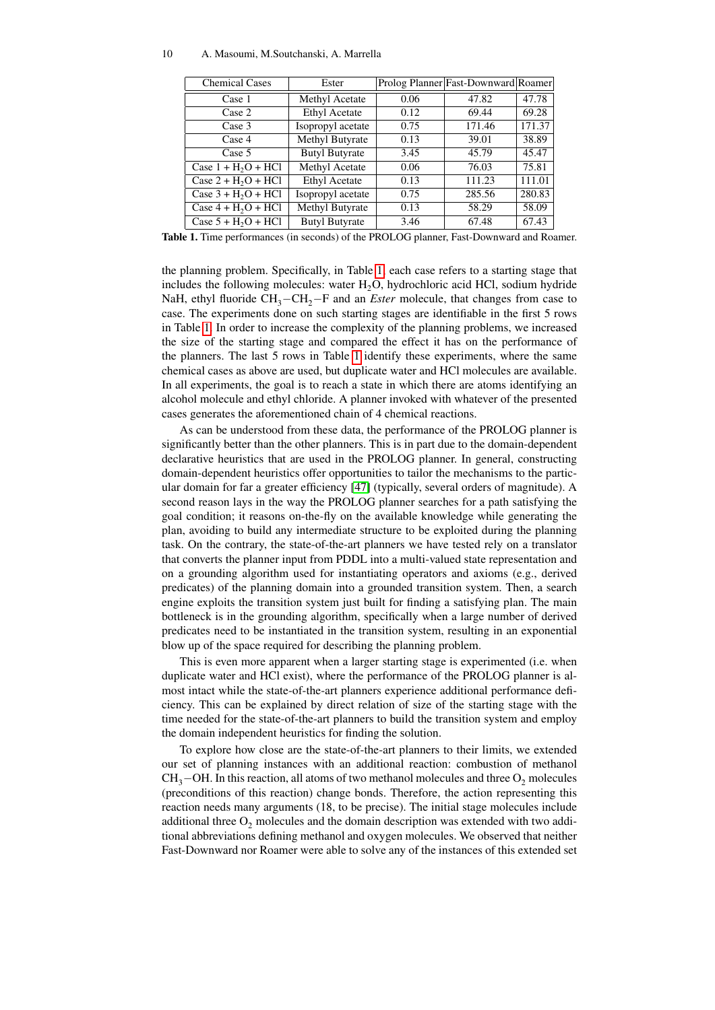#### 10 A. Masoumi, M.Soutchanski, A. Marrella

| <b>Chemical Cases</b>            | Ester                 |      | Prolog Planner Fast-Downward Roamer |        |
|----------------------------------|-----------------------|------|-------------------------------------|--------|
| Case 1                           | Methyl Acetate        | 0.06 | 47.82                               | 47.78  |
| Case 2                           | <b>Ethyl Acetate</b>  | 0.12 | 69.44                               | 69.28  |
| Case 3                           | Isopropyl acetate     | 0.75 | 171.46                              | 171.37 |
| Case 4                           | Methyl Butyrate       | 0.13 | 39.01                               | 38.89  |
| Case 5                           | <b>Butyl Butyrate</b> | 3.45 | 45.79                               | 45.47  |
| Case $1 + H2O + HCl$             | Methyl Acetate        | 0.06 | 76.03                               | 75.81  |
| Case $2 + H_2O + \overline{HCl}$ | <b>Ethyl Acetate</b>  | 0.13 | 111.23                              | 111.01 |
| Case $3 + H_2O + HCl$            | Isopropyl acetate     | 0.75 | 285.56                              | 280.83 |
| Case $4 + H2O + HCl$             | Methyl Butyrate       | 0.13 | 58.29                               | 58.09  |
| Case $5 + H2O + HCl$             | <b>Butyl Butyrate</b> | 3.46 | 67.48                               | 67.43  |

<span id="page-9-0"></span>Table 1. Time performances (in seconds) of the PROLOG planner, Fast-Downward and Roamer.

the planning problem. Specifically, in Table [1,](#page-9-0) each case refers to a starting stage that includes the following molecules: water  $H_2O$ , hydrochloric acid HCl, sodium hydride NaH, ethyl fluoride CH<sub>3</sub>−CH<sub>2</sub>−F and an *Ester* molecule, that changes from case to case. The experiments done on such starting stages are identifiable in the first 5 rows in Table [1.](#page-9-0) In order to increase the complexity of the planning problems, we increased the size of the starting stage and compared the effect it has on the performance of the planners. The last 5 rows in Table [1](#page-9-0) identify these experiments, where the same chemical cases as above are used, but duplicate water and HCl molecules are available. In all experiments, the goal is to reach a state in which there are atoms identifying an alcohol molecule and ethyl chloride. A planner invoked with whatever of the presented cases generates the aforementioned chain of 4 chemical reactions.

As can be understood from these data, the performance of the PROLOG planner is significantly better than the other planners. This is in part due to the domain-dependent declarative heuristics that are used in the PROLOG planner. In general, constructing domain-dependent heuristics offer opportunities to tailor the mechanisms to the particular domain for far a greater efficiency [\[47\]](#page-14-17) (typically, several orders of magnitude). A second reason lays in the way the PROLOG planner searches for a path satisfying the goal condition; it reasons on-the-fly on the available knowledge while generating the plan, avoiding to build any intermediate structure to be exploited during the planning task. On the contrary, the state-of-the-art planners we have tested rely on a translator that converts the planner input from PDDL into a multi-valued state representation and on a grounding algorithm used for instantiating operators and axioms (e.g., derived predicates) of the planning domain into a grounded transition system. Then, a search engine exploits the transition system just built for finding a satisfying plan. The main bottleneck is in the grounding algorithm, specifically when a large number of derived predicates need to be instantiated in the transition system, resulting in an exponential blow up of the space required for describing the planning problem.

This is even more apparent when a larger starting stage is experimented (i.e. when duplicate water and HCl exist), where the performance of the PROLOG planner is almost intact while the state-of-the-art planners experience additional performance deficiency. This can be explained by direct relation of size of the starting stage with the time needed for the state-of-the-art planners to build the transition system and employ the domain independent heuristics for finding the solution.

To explore how close are the state-of-the-art planners to their limits, we extended our set of planning instances with an additional reaction: combustion of methanol  $CH_3$ −OH. In this reaction, all atoms of two methanol molecules and three O<sub>2</sub> molecules (preconditions of this reaction) change bonds. Therefore, the action representing this reaction needs many arguments (18, to be precise). The initial stage molecules include additional three  $O_2$  molecules and the domain description was extended with two additional abbreviations defining methanol and oxygen molecules. We observed that neither Fast-Downward nor Roamer were able to solve any of the instances of this extended set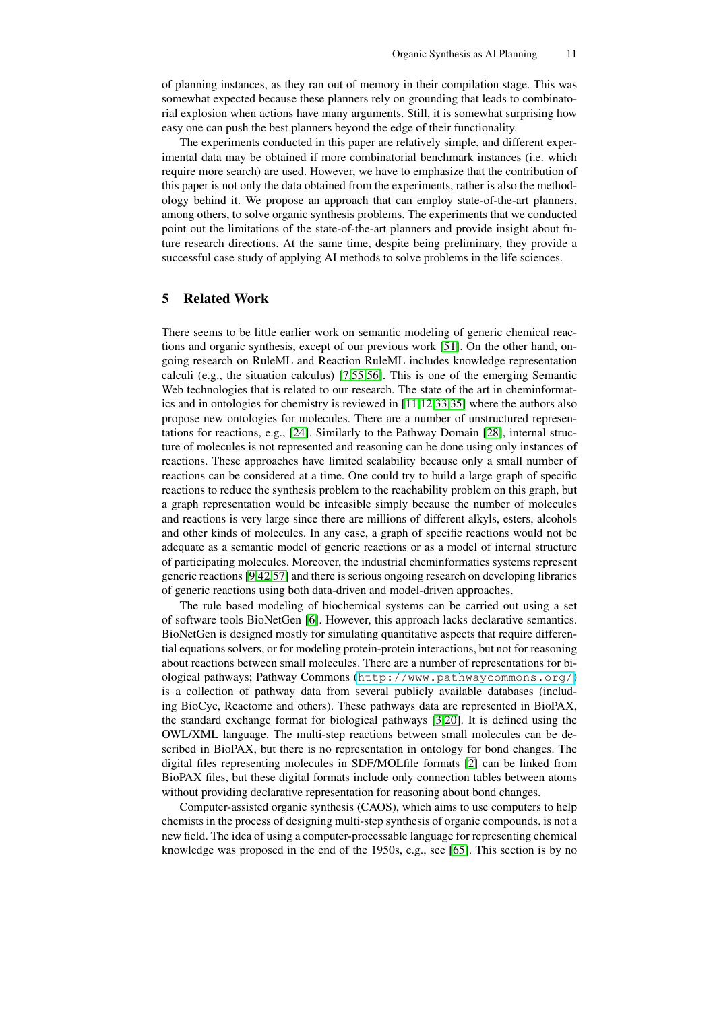of planning instances, as they ran out of memory in their compilation stage. This was somewhat expected because these planners rely on grounding that leads to combinatorial explosion when actions have many arguments. Still, it is somewhat surprising how easy one can push the best planners beyond the edge of their functionality.

The experiments conducted in this paper are relatively simple, and different experimental data may be obtained if more combinatorial benchmark instances (i.e. which require more search) are used. However, we have to emphasize that the contribution of this paper is not only the data obtained from the experiments, rather is also the methodology behind it. We propose an approach that can employ state-of-the-art planners, among others, to solve organic synthesis problems. The experiments that we conducted point out the limitations of the state-of-the-art planners and provide insight about future research directions. At the same time, despite being preliminary, they provide a successful case study of applying AI methods to solve problems in the life sciences.

## 5 Related Work

There seems to be little earlier work on semantic modeling of generic chemical reactions and organic synthesis, except of our previous work [\[51\]](#page-14-9). On the other hand, ongoing research on RuleML and Reaction RuleML includes knowledge representation calculi (e.g., the situation calculus) [\[7,](#page-12-7)[55](#page-14-8)[,56\]](#page-14-7). This is one of the emerging Semantic Web technologies that is related to our research. The state of the art in cheminformatics and in ontologies for chemistry is reviewed in [\[11,](#page-12-0)[12,](#page-12-1)[33](#page-13-2)[,35\]](#page-13-3) where the authors also propose new ontologies for molecules. There are a number of unstructured representations for reactions, e.g., [\[24\]](#page-13-18). Similarly to the Pathway Domain [\[28\]](#page-13-13), internal structure of molecules is not represented and reasoning can be done using only instances of reactions. These approaches have limited scalability because only a small number of reactions can be considered at a time. One could try to build a large graph of specific reactions to reduce the synthesis problem to the reachability problem on this graph, but a graph representation would be infeasible simply because the number of molecules and reactions is very large since there are millions of different alkyls, esters, alcohols and other kinds of molecules. In any case, a graph of specific reactions would not be adequate as a semantic model of generic reactions or as a model of internal structure of participating molecules. Moreover, the industrial cheminformatics systems represent generic reactions [\[9](#page-12-11)[,42](#page-13-19)[,57\]](#page-14-18) and there is serious ongoing research on developing libraries of generic reactions using both data-driven and model-driven approaches.

The rule based modeling of biochemical systems can be carried out using a set of software tools BioNetGen [\[6\]](#page-12-12). However, this approach lacks declarative semantics. BioNetGen is designed mostly for simulating quantitative aspects that require differential equations solvers, or for modeling protein-protein interactions, but not for reasoning about reactions between small molecules. There are a number of representations for biological pathways; Pathway Commons (<http://www.pathwaycommons.org/>) is a collection of pathway data from several publicly available databases (including BioCyc, Reactome and others). These pathways data are represented in BioPAX, the standard exchange format for biological pathways [\[3](#page-12-3)[,20\]](#page-13-6). It is defined using the OWL/XML language. The multi-step reactions between small molecules can be described in BioPAX, but there is no representation in ontology for bond changes. The digital files representing molecules in SDF/MOLfile formats [\[2\]](#page-12-13) can be linked from BioPAX files, but these digital formats include only connection tables between atoms without providing declarative representation for reasoning about bond changes.

Computer-assisted organic synthesis (CAOS), which aims to use computers to help chemists in the process of designing multi-step synthesis of organic compounds, is not a new field. The idea of using a computer-processable language for representing chemical knowledge was proposed in the end of the 1950s, e.g., see [\[65\]](#page-14-19). This section is by no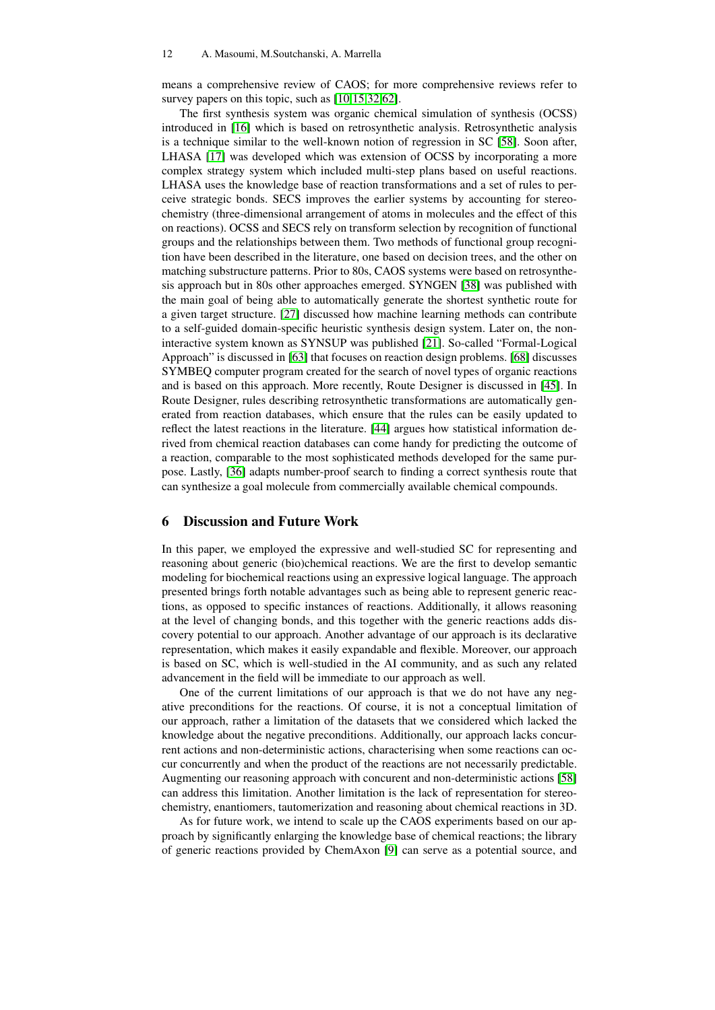means a comprehensive review of CAOS; for more comprehensive reviews refer to survey papers on this topic, such as  $[10,15,32,62]$  $[10,15,32,62]$  $[10,15,32,62]$  $[10,15,32,62]$ .

The first synthesis system was organic chemical simulation of synthesis (OCSS) introduced in [\[16\]](#page-12-16) which is based on retrosynthetic analysis. Retrosynthetic analysis is a technique similar to the well-known notion of regression in SC [\[58\]](#page-14-10). Soon after, LHASA [\[17\]](#page-12-17) was developed which was extension of OCSS by incorporating a more complex strategy system which included multi-step plans based on useful reactions. LHASA uses the knowledge base of reaction transformations and a set of rules to perceive strategic bonds. SECS improves the earlier systems by accounting for stereochemistry (three-dimensional arrangement of atoms in molecules and the effect of this on reactions). OCSS and SECS rely on transform selection by recognition of functional groups and the relationships between them. Two methods of functional group recognition have been described in the literature, one based on decision trees, and the other on matching substructure patterns. Prior to 80s, CAOS systems were based on retrosynthesis approach but in 80s other approaches emerged. SYNGEN [\[38\]](#page-13-21) was published with the main goal of being able to automatically generate the shortest synthetic route for a given target structure. [\[27\]](#page-13-22) discussed how machine learning methods can contribute to a self-guided domain-specific heuristic synthesis design system. Later on, the noninteractive system known as SYNSUP was published [\[21\]](#page-13-23). So-called "Formal-Logical Approach" is discussed in [\[63\]](#page-14-21) that focuses on reaction design problems. [\[68\]](#page-14-22) discusses SYMBEQ computer program created for the search of novel types of organic reactions and is based on this approach. More recently, Route Designer is discussed in [\[45\]](#page-14-23). In Route Designer, rules describing retrosynthetic transformations are automatically generated from reaction databases, which ensure that the rules can be easily updated to reflect the latest reactions in the literature. [\[44\]](#page-14-24) argues how statistical information derived from chemical reaction databases can come handy for predicting the outcome of a reaction, comparable to the most sophisticated methods developed for the same purpose. Lastly, [\[36\]](#page-13-24) adapts number-proof search to finding a correct synthesis route that can synthesize a goal molecule from commercially available chemical compounds.

### 6 Discussion and Future Work

In this paper, we employed the expressive and well-studied SC for representing and reasoning about generic (bio)chemical reactions. We are the first to develop semantic modeling for biochemical reactions using an expressive logical language. The approach presented brings forth notable advantages such as being able to represent generic reactions, as opposed to specific instances of reactions. Additionally, it allows reasoning at the level of changing bonds, and this together with the generic reactions adds discovery potential to our approach. Another advantage of our approach is its declarative representation, which makes it easily expandable and flexible. Moreover, our approach is based on SC, which is well-studied in the AI community, and as such any related advancement in the field will be immediate to our approach as well.

One of the current limitations of our approach is that we do not have any negative preconditions for the reactions. Of course, it is not a conceptual limitation of our approach, rather a limitation of the datasets that we considered which lacked the knowledge about the negative preconditions. Additionally, our approach lacks concurrent actions and non-deterministic actions, characterising when some reactions can occur concurrently and when the product of the reactions are not necessarily predictable. Augmenting our reasoning approach with concurent and non-deterministic actions [\[58\]](#page-14-10) can address this limitation. Another limitation is the lack of representation for stereochemistry, enantiomers, tautomerization and reasoning about chemical reactions in 3D.

As for future work, we intend to scale up the CAOS experiments based on our approach by significantly enlarging the knowledge base of chemical reactions; the library of generic reactions provided by ChemAxon [\[9\]](#page-12-11) can serve as a potential source, and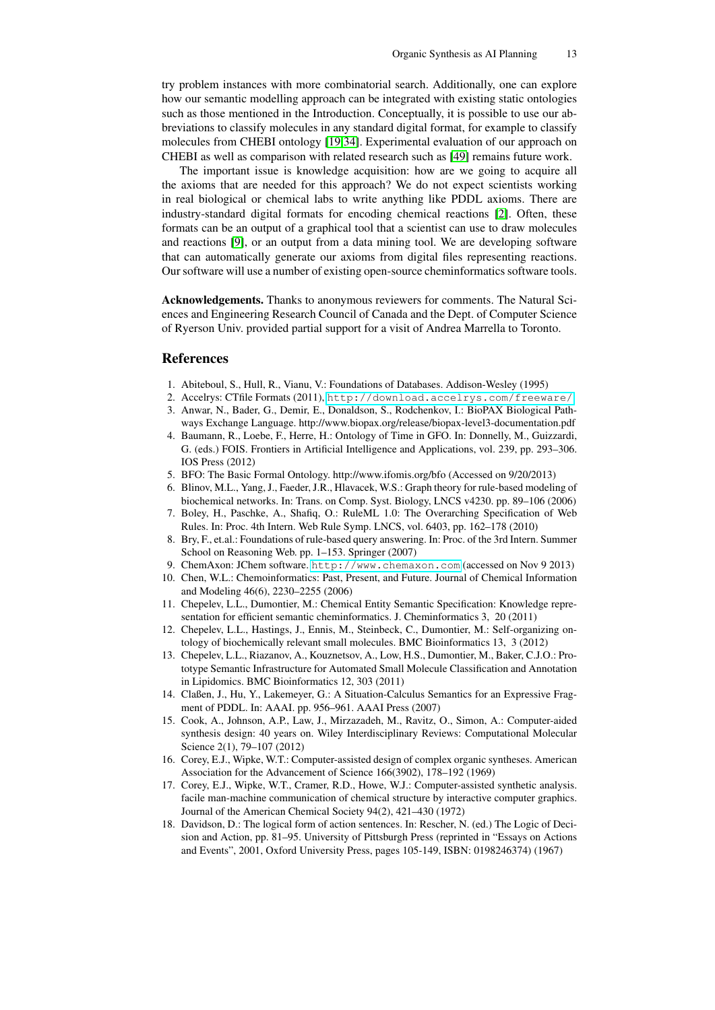try problem instances with more combinatorial search. Additionally, one can explore how our semantic modelling approach can be integrated with existing static ontologies such as those mentioned in the Introduction. Conceptually, it is possible to use our abbreviations to classify molecules in any standard digital format, for example to classify molecules from CHEBI ontology [\[19,](#page-13-4)[34\]](#page-13-5). Experimental evaluation of our approach on CHEBI as well as comparison with related research such as [\[49\]](#page-14-0) remains future work.

The important issue is knowledge acquisition: how are we going to acquire all the axioms that are needed for this approach? We do not expect scientists working in real biological or chemical labs to write anything like PDDL axioms. There are industry-standard digital formats for encoding chemical reactions [\[2\]](#page-12-13). Often, these formats can be an output of a graphical tool that a scientist can use to draw molecules and reactions [\[9\]](#page-12-11), or an output from a data mining tool. We are developing software that can automatically generate our axioms from digital files representing reactions. Our software will use a number of existing open-source cheminformatics software tools.

Acknowledgements. Thanks to anonymous reviewers for comments. The Natural Sciences and Engineering Research Council of Canada and the Dept. of Computer Science of Ryerson Univ. provided partial support for a visit of Andrea Marrella to Toronto.

### References

- <span id="page-12-9"></span>1. Abiteboul, S., Hull, R., Vianu, V.: Foundations of Databases. Addison-Wesley (1995)
- <span id="page-12-13"></span>2. Accelrys: CTfile Formats (2011), <http://download.accelrys.com/freeware/>
- <span id="page-12-3"></span>3. Anwar, N., Bader, G., Demir, E., Donaldson, S., Rodchenkov, I.: BioPAX Biological Pathways Exchange Language. http://www.biopax.org/release/biopax-level3-documentation.pdf
- <span id="page-12-5"></span>4. Baumann, R., Loebe, F., Herre, H.: Ontology of Time in GFO. In: Donnelly, M., Guizzardi, G. (eds.) FOIS. Frontiers in Artificial Intelligence and Applications, vol. 239, pp. 293–306. IOS Press (2012)
- <span id="page-12-4"></span>5. BFO: The Basic Formal Ontology. http://www.ifomis.org/bfo (Accessed on 9/20/2013)
- <span id="page-12-12"></span>6. Blinov, M.L., Yang, J., Faeder, J.R., Hlavacek, W.S.: Graph theory for rule-based modeling of biochemical networks. In: Trans. on Comp. Syst. Biology, LNCS v4230. pp. 89–106 (2006)
- <span id="page-12-7"></span>7. Boley, H., Paschke, A., Shafiq, O.: RuleML 1.0: The Overarching Specification of Web Rules. In: Proc. 4th Intern. Web Rule Symp. LNCS, vol. 6403, pp. 162–178 (2010)
- <span id="page-12-10"></span>8. Bry, F., et.al.: Foundations of rule-based query answering. In: Proc. of the 3rd Intern. Summer School on Reasoning Web. pp. 1–153. Springer (2007)
- <span id="page-12-11"></span>9. ChemAxon: JChem software. <http://www.chemaxon.com> (accessed on Nov 9 2013)
- <span id="page-12-14"></span>10. Chen, W.L.: Chemoinformatics: Past, Present, and Future. Journal of Chemical Information and Modeling 46(6), 2230–2255 (2006)
- <span id="page-12-0"></span>11. Chepelev, L.L., Dumontier, M.: Chemical Entity Semantic Specification: Knowledge representation for efficient semantic cheminformatics. J. Cheminformatics 3, 20 (2011)
- <span id="page-12-1"></span>12. Chepelev, L.L., Hastings, J., Ennis, M., Steinbeck, C., Dumontier, M.: Self-organizing ontology of biochemically relevant small molecules. BMC Bioinformatics 13, 3 (2012)
- <span id="page-12-2"></span>13. Chepelev, L.L., Riazanov, A., Kouznetsov, A., Low, H.S., Dumontier, M., Baker, C.J.O.: Prototype Semantic Infrastructure for Automated Small Molecule Classification and Annotation in Lipidomics. BMC Bioinformatics 12, 303 (2011)
- <span id="page-12-8"></span>14. Claßen, J., Hu, Y., Lakemeyer, G.: A Situation-Calculus Semantics for an Expressive Fragment of PDDL. In: AAAI. pp. 956–961. AAAI Press (2007)
- <span id="page-12-15"></span>15. Cook, A., Johnson, A.P., Law, J., Mirzazadeh, M., Ravitz, O., Simon, A.: Computer-aided synthesis design: 40 years on. Wiley Interdisciplinary Reviews: Computational Molecular Science 2(1), 79–107 (2012)
- <span id="page-12-16"></span>16. Corey, E.J., Wipke, W.T.: Computer-assisted design of complex organic syntheses. American Association for the Advancement of Science 166(3902), 178–192 (1969)
- <span id="page-12-17"></span>17. Corey, E.J., Wipke, W.T., Cramer, R.D., Howe, W.J.: Computer-assisted synthetic analysis. facile man-machine communication of chemical structure by interactive computer graphics. Journal of the American Chemical Society 94(2), 421–430 (1972)
- <span id="page-12-6"></span>18. Davidson, D.: The logical form of action sentences. In: Rescher, N. (ed.) The Logic of Decision and Action, pp. 81–95. University of Pittsburgh Press (reprinted in "Essays on Actions and Events", 2001, Oxford University Press, pages 105-149, ISBN: 0198246374) (1967)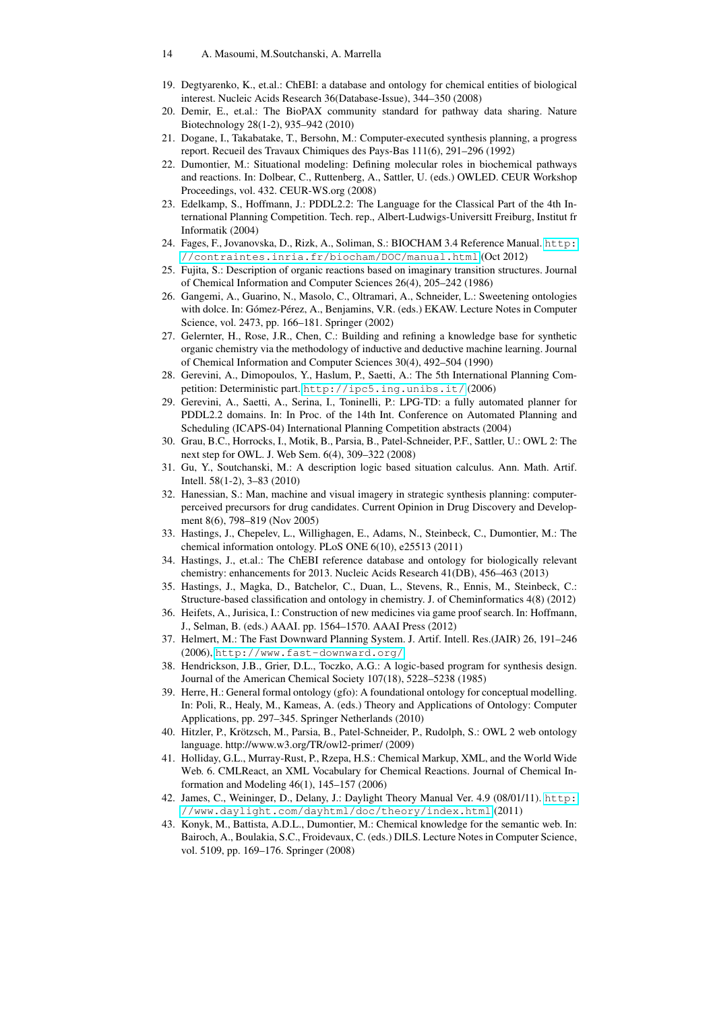#### 14 A. Masoumi, M.Soutchanski, A. Marrella

- <span id="page-13-4"></span>19. Degtyarenko, K., et.al.: ChEBI: a database and ontology for chemical entities of biological interest. Nucleic Acids Research 36(Database-Issue), 344–350 (2008)
- <span id="page-13-6"></span>20. Demir, E., et.al.: The BioPAX community standard for pathway data sharing. Nature Biotechnology 28(1-2), 935–942 (2010)
- <span id="page-13-23"></span>21. Dogane, I., Takabatake, T., Bersohn, M.: Computer-executed synthesis planning, a progress report. Recueil des Travaux Chimiques des Pays-Bas 111(6), 291–296 (1992)
- <span id="page-13-9"></span>22. Dumontier, M.: Situational modeling: Defining molecular roles in biochemical pathways and reactions. In: Dolbear, C., Ruttenberg, A., Sattler, U. (eds.) OWLED. CEUR Workshop Proceedings, vol. 432. CEUR-WS.org (2008)
- <span id="page-13-16"></span>23. Edelkamp, S., Hoffmann, J.: PDDL2.2: The Language for the Classical Part of the 4th International Planning Competition. Tech. rep., Albert-Ludwigs-Universitt Freiburg, Institut fr Informatik (2004)
- <span id="page-13-18"></span>24. Fages, F., Jovanovska, D., Rizk, A., Soliman, S.: BIOCHAM 3.4 Reference Manual. [http:](http://contraintes.inria.fr/biocham/DOC/manual.html) [//contraintes.inria.fr/biocham/DOC/manual.html](http://contraintes.inria.fr/biocham/DOC/manual.html) (Oct 2012)
- <span id="page-13-14"></span>25. Fujita, S.: Description of organic reactions based on imaginary transition structures. Journal of Chemical Information and Computer Sciences 26(4), 205–242 (1986)
- <span id="page-13-10"></span>26. Gangemi, A., Guarino, N., Masolo, C., Oltramari, A., Schneider, L.: Sweetening ontologies with dolce. In: Gómez-Pérez, A., Benjamins, V.R. (eds.) EKAW. Lecture Notes in Computer Science, vol. 2473, pp. 166–181. Springer (2002)
- <span id="page-13-22"></span>27. Gelernter, H., Rose, J.R., Chen, C.: Building and refining a knowledge base for synthetic organic chemistry via the methodology of inductive and deductive machine learning. Journal of Chemical Information and Computer Sciences 30(4), 492–504 (1990)
- <span id="page-13-13"></span>28. Gerevini, A., Dimopoulos, Y., Haslum, P., Saetti, A.: The 5th International Planning Competition: Deterministic part. <http://ipc5.ing.unibs.it/> (2006)
- <span id="page-13-17"></span>29. Gerevini, A., Saetti, A., Serina, I., Toninelli, P.: LPG-TD: a fully automated planner for PDDL2.2 domains. In: In Proc. of the 14th Int. Conference on Automated Planning and Scheduling (ICAPS-04) International Planning Competition abstracts (2004)
- <span id="page-13-8"></span>30. Grau, B.C., Horrocks, I., Motik, B., Parsia, B., Patel-Schneider, P.F., Sattler, U.: OWL 2: The next step for OWL. J. Web Sem. 6(4), 309–322 (2008)
- <span id="page-13-12"></span>31. Gu, Y., Soutchanski, M.: A description logic based situation calculus. Ann. Math. Artif. Intell. 58(1-2), 3–83 (2010)
- <span id="page-13-20"></span>32. Hanessian, S.: Man, machine and visual imagery in strategic synthesis planning: computerperceived precursors for drug candidates. Current Opinion in Drug Discovery and Development 8(6), 798–819 (Nov 2005)
- <span id="page-13-2"></span>33. Hastings, J., Chepelev, L., Willighagen, E., Adams, N., Steinbeck, C., Dumontier, M.: The chemical information ontology. PLoS ONE 6(10), e25513 (2011)
- <span id="page-13-5"></span>34. Hastings, J., et.al.: The ChEBI reference database and ontology for biologically relevant chemistry: enhancements for 2013. Nucleic Acids Research 41(DB), 456–463 (2013)
- <span id="page-13-3"></span>35. Hastings, J., Magka, D., Batchelor, C., Duan, L., Stevens, R., Ennis, M., Steinbeck, C.: Structure-based classification and ontology in chemistry. J. of Cheminformatics 4(8) (2012)
- <span id="page-13-24"></span>36. Heifets, A., Jurisica, I.: Construction of new medicines via game proof search. In: Hoffmann, J., Selman, B. (eds.) AAAI. pp. 1564–1570. AAAI Press (2012)
- <span id="page-13-15"></span>37. Helmert, M.: The Fast Downward Planning System. J. Artif. Intell. Res.(JAIR) 26, 191–246 (2006), <http://www.fast-downward.org/>
- <span id="page-13-21"></span>38. Hendrickson, J.B., Grier, D.L., Toczko, A.G.: A logic-based program for synthesis design. Journal of the American Chemical Society 107(18), 5228–5238 (1985)
- <span id="page-13-11"></span>39. Herre, H.: General formal ontology (gfo): A foundational ontology for conceptual modelling. In: Poli, R., Healy, M., Kameas, A. (eds.) Theory and Applications of Ontology: Computer Applications, pp. 297–345. Springer Netherlands (2010)
- <span id="page-13-7"></span>40. Hitzler, P., Krötzsch, M., Parsia, B., Patel-Schneider, P., Rudolph, S.: OWL 2 web ontology language. http://www.w3.org/TR/owl2-primer/ (2009)
- <span id="page-13-1"></span>41. Holliday, G.L., Murray-Rust, P., Rzepa, H.S.: Chemical Markup, XML, and the World Wide Web. 6. CMLReact, an XML Vocabulary for Chemical Reactions. Journal of Chemical Information and Modeling 46(1), 145–157 (2006)
- <span id="page-13-19"></span>42. James, C., Weininger, D., Delany, J.: Daylight Theory Manual Ver. 4.9 (08/01/11). [http:](http://www.daylight.com/dayhtml/doc/theory/index.html) [//www.daylight.com/dayhtml/doc/theory/index.html](http://www.daylight.com/dayhtml/doc/theory/index.html) (2011)
- <span id="page-13-0"></span>43. Konyk, M., Battista, A.D.L., Dumontier, M.: Chemical knowledge for the semantic web. In: Bairoch, A., Boulakia, S.C., Froidevaux, C. (eds.) DILS. Lecture Notes in Computer Science, vol. 5109, pp. 169–176. Springer (2008)